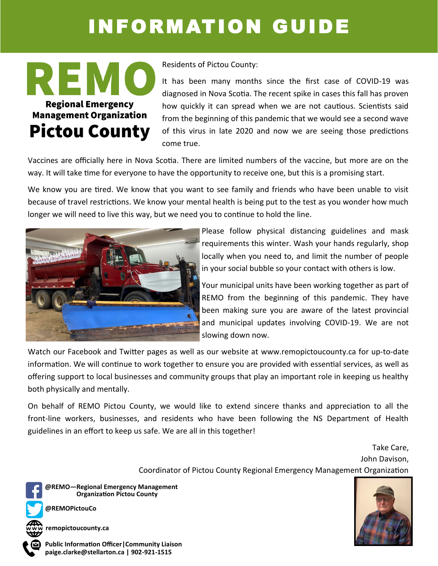## INFORMATION GUIDE



Residents of Pictou County:

It has been many months since the first case of COVID-19 was diagnosed in Nova Scotia. The recent spike in cases this fall has proven how quickly it can spread when we are not cautious. Scientists said from the beginning of this pandemic that we would see a second wave of this virus in late 2020 and now we are seeing those predictions come true.

Vaccines are officially here in Nova Scotia. There are limited numbers of the vaccine, but more are on the way. It will take time for everyone to have the opportunity to receive one, but this is a promising start.

We know you are tired. We know that you want to see family and friends who have been unable to visit because of travel restrictions. We know your mental health is being put to the test as you wonder how much longer we will need to live this way, but we need you to continue to hold the line.



Please follow physical distancing guidelines and mask requirements this winter. Wash your hands regularly, shop locally when you need to, and limit the number of people in your social bubble so your contact with others is low.

Your municipal units have been working together as part of REMO from the beginning of this pandemic. They have been making sure you are aware of the latest provincial and municipal updates involving COVID-19. We are not slowing down now.

Watch our Facebook and Twitter pages as well as our website at [www.remopictoucounty.ca](http://www.remopictoucounty.ca) for up-to-date information. We will continue to work together to ensure you are provided with essential services, as well as offering support to local businesses and community groups that play an important role in keeping us healthy both physically and mentally.

On behalf of REMO Pictou County, we would like to extend sincere thanks and appreciation to all the front-line workers, businesses, and residents who have been following the NS Department of Health guidelines in an effort to keep us safe. We are all in this together!

> Take Care, John Davison, Coordinator of Pictou County Regional Emergency Management Organization



**Organization Pictou County @REMO—Regional Emergency Management**

**@REMOPictouCo**

**remopictoucounty.ca**

**paige.clarke@stellarton.ca | 902-921-1515 Public Information Officer|Community Liaison**

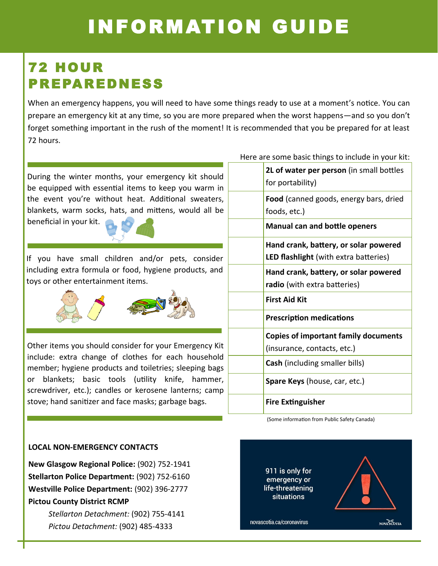## INFORMATION GUIDE

### 72 HOUR PREPAREDNESS

When an emergency happens, you will need to have some things ready to use at a moment's notice. You can prepare an emergency kit at any time, so you are more prepared when the worst happens—and so you don't forget something important in the rush of the moment! It is recommended that you be prepared for at least 72 hours.

During the winter months, your emergency kit should be equipped with essential items to keep you warm in the event you're without heat. Additional sweaters, blankets, warm socks, hats, and mittens, would all be beneficial in your kit.

If you have small children and/or pets, consider including extra formula or food, hygiene products, and toys or other entertainment items.



Other items you should consider for your Emergency Kit include: extra change of clothes for each household member; hygiene products and toiletries; sleeping bags or blankets; basic tools (utility knife, hammer, screwdriver, etc.); candles or kerosene lanterns; camp stove; hand sanitizer and face masks; garbage bags.

| Here are some basic things to include in your kit: |                                             |  |  |
|----------------------------------------------------|---------------------------------------------|--|--|
|                                                    | 2L of water per person (in small bottles    |  |  |
|                                                    | for portability)                            |  |  |
|                                                    | Food (canned goods, energy bars, dried      |  |  |
|                                                    | foods, etc.)                                |  |  |
|                                                    |                                             |  |  |
|                                                    | <b>Manual can and bottle openers</b>        |  |  |
|                                                    | Hand crank, battery, or solar powered       |  |  |
|                                                    | LED flashlight (with extra batteries)       |  |  |
|                                                    | Hand crank, battery, or solar powered       |  |  |
|                                                    | radio (with extra batteries)                |  |  |
|                                                    | <b>First Aid Kit</b>                        |  |  |
|                                                    | <b>Prescription medications</b>             |  |  |
|                                                    | <b>Copies of important family documents</b> |  |  |
|                                                    | (insurance, contacts, etc.)                 |  |  |
|                                                    | <b>Cash</b> (including smaller bills)       |  |  |
|                                                    | Spare Keys (house, car, etc.)               |  |  |
|                                                    | <b>Fire Extinguisher</b>                    |  |  |
|                                                    |                                             |  |  |

(Some information from Public Safety Canada)

#### **LOCAL NON-EMERGENCY CONTACTS**

**New Glasgow Regional Police:** (902) 752-1941 **Stellarton Police Department:** (902) 752-6160 **Westville Police Department:** (902) 396-2777 **Pictou County District RCMP**

> *Stellarton Detachment:* (902) 755-4141 *Pictou Detachment:* (902) 485-4333

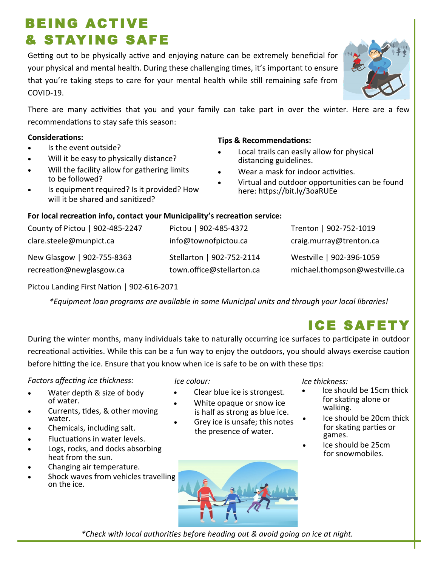### • Chemicals, including salt.

# Pictou Landing First Nation | 902-616-2071

*\*Equipment loan programs are available in some Municipal units and through your local libraries!* 

During the winter months, many individuals take to naturally occurring ice surfaces to participate in outdoor recreational activities. While this can be a fun way to enjoy the outdoors, you should always exercise caution before hitting the ice. Ensure that you know when ice is safe to be on with these tips:

*Factors affecting ice thickness:*

- Water depth & size of body of water.
- water. • Currents, tides, & other moving
- 
- Fluctuations in water levels.
- Logs, rocks, and docks absorbing heat from the sun.
- Changing air temperature.
- Shock waves from vehicles travelling on the ice.

*\*Check with local authorities before heading out & avoid going on ice at night.*

*Ice colour:*

- Clear blue ice is strongest.
- is half as strong as blue ice. White opaque or snow ice
	- Grey ice is unsafe; this notes the presence of water.

*Ice thickness:*

- Ice should be 15cm thick for skating alone or walking.
- Ice should be 20cm thick for skating parties or games.
- Ice should be 25cm for snowmobiles.
- 
- Local trails can easily allow for physical
	- distancing guidelines.
	- Wear a mask for indoor activities.
	- Virtual and outdoor opportunities can be found here: https://bit.ly/3oaRUEe

### **For local recreation info, contact your Municipality's recreation service:**

| County of Pictou   902-485-2247 | Pictou   902-485-4372     | Trenton   902-752-1019        |
|---------------------------------|---------------------------|-------------------------------|
| clare.steele@munpict.ca         | info@townofpictou.ca      | craig.murray@trenton.ca       |
| New Glasgow   902-755-8363      | Stellarton   902-752-2114 | Westville   902-396-1059      |
| recreation@newglasgow.ca        | town.office@stellarton.ca | michael.thompson@westville.ca |

### COVID-19. There are many activities that you and your family can take part in over the winter. Here are a few recommendations to stay safe this season:

BEING ACTIVE

& STAYING SAFE

- Is the event outside?
- Will it be easy to physically distance?

#### Will the facility allow for gathering limits to be followed?

Is equipment required? Is it provided? How will it be shared and sanitized?





ICE SAFET



## **Tips & Recommendations: Considerations:**